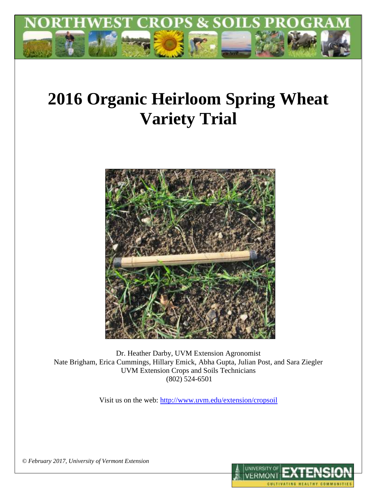

# **2016 Organic Heirloom Spring Wheat Variety Trial**



Dr. Heather Darby, UVM Extension Agronomist Nate Brigham, Erica Cummings, Hillary Emick, Abha Gupta, Julian Post, and Sara Ziegler UVM Extension Crops and Soils Technicians (802) 524-6501

Visit us on the web:<http://www.uvm.edu/extension/cropsoil>



*© February 2017, University of Vermont Extension*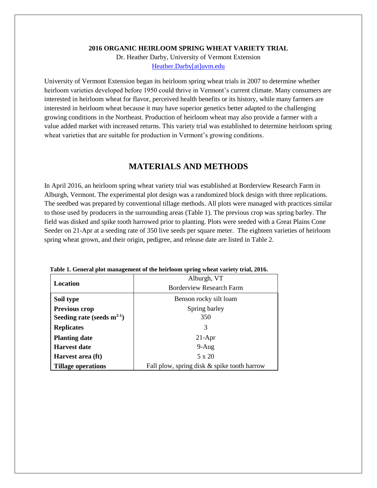#### **2016 ORGANIC HEIRLOOM SPRING WHEAT VARIETY TRIAL**

Dr. Heather Darby, University of Vermont Extension [Heather.Darby\[at\]uvm.edu](mailto:Heather.Darby@uvm.edu)

University of Vermont Extension began its heirloom spring wheat trials in 2007 to determine whether heirloom varieties developed before 1950 could thrive in Vermont's current climate. Many consumers are interested in heirloom wheat for flavor, perceived health benefits or its history, while many farmers are interested in heirloom wheat because it may have superior genetics better adapted to the challenging growing conditions in the Northeast. Production of heirloom wheat may also provide a farmer with a value added market with increased returns. This variety trial was established to determine heirloom spring wheat varieties that are suitable for production in Vermont's growing conditions.

## **MATERIALS AND METHODS**

In April 2016, an heirloom spring wheat variety trial was established at Borderview Research Farm in Alburgh, Vermont. The experimental plot design was a randomized block design with three replications. The seedbed was prepared by conventional tillage methods. All plots were managed with practices similar to those used by producers in the surrounding areas (Table 1). The previous crop was spring barley. The field was disked and spike tooth harrowed prior to planting. Plots were seeded with a Great Plains Cone Seeder on 21-Apr at a seeding rate of 350 live seeds per square meter. The eighteen varieties of heirloom spring wheat grown, and their origin, pedigree, and release date are listed in Table 2.

|                                                                          | Alburgh, VT                     |  |  |  |  |
|--------------------------------------------------------------------------|---------------------------------|--|--|--|--|
| Location                                                                 |                                 |  |  |  |  |
|                                                                          | <b>Borderview Research Farm</b> |  |  |  |  |
| Benson rocky silt loam<br>Soil type                                      |                                 |  |  |  |  |
| <b>Previous crop</b>                                                     | Spring barley                   |  |  |  |  |
| Seeding rate (seeds $m^{2-1}$ )                                          | 350                             |  |  |  |  |
| <b>Replicates</b>                                                        | 3                               |  |  |  |  |
| <b>Planting date</b>                                                     | $21-Apr$                        |  |  |  |  |
| <b>Harvest date</b>                                                      | $9-Aug$                         |  |  |  |  |
| Harvest area (ft)                                                        | 5 x 20                          |  |  |  |  |
| Fall plow, spring disk & spike tooth harrow<br><b>Tillage operations</b> |                                 |  |  |  |  |

**Table 1. General plot management of the heirloom spring wheat variety trial, 2016.**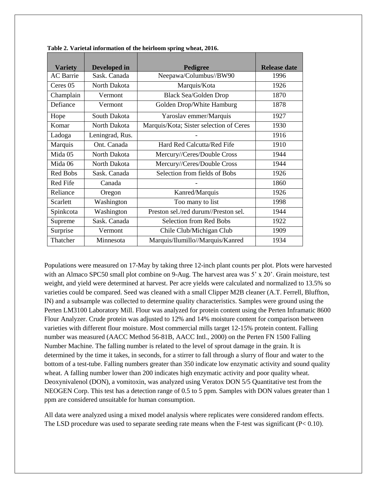| <b>Variety</b>   | Developed in    | Pedigree                                | <b>Release date</b> |
|------------------|-----------------|-----------------------------------------|---------------------|
| <b>AC</b> Barrie | Sask. Canada    | Neepawa/Columbus//BW90                  | 1996                |
| Ceres 05         | North Dakota    | Marquis/Kota                            | 1926                |
| Champlain        | Vermont         | <b>Black Sea/Golden Drop</b>            | 1870                |
| Defiance         | Vermont         | Golden Drop/White Hamburg               | 1878                |
| Hope             | South Dakota    | Yaroslav emmer/Marquis                  | 1927                |
| Komar            | North Dakota    | Marquis/Kota; Sister selection of Ceres | 1930                |
| Ladoga           | Leningrad, Rus. |                                         | 1916                |
| Marquis          | Ont. Canada     | Hard Red Calcutta/Red Fife              | 1910                |
| Mida 05          | North Dakota    | Mercury//Ceres/Double Cross             | 1944                |
| Mida 06          | North Dakota    | Mercury//Ceres/Double Cross             | 1944                |
| Red Bobs         | Sask. Canada    | Selection from fields of Bobs           | 1926                |
| Red Fife         | Canada          |                                         | 1860                |
| Reliance         | Oregon          | Kanred/Marquis                          | 1926                |
| Scarlett         | Washington      | Too many to list                        | 1998                |
| Spinkcota        | Washington      | Preston sel./red durum//Preston sel.    | 1944                |
| Supreme          | Sask. Canada    | <b>Selection from Red Bobs</b>          | 1922                |
| Surprise         | Vermont         | Chile Club/Michigan Club                | 1909                |
| Thatcher         | Minnesota       | Marquis/Ilumillo//Marquis/Kanred        | 1934                |

**Table 2. Varietal information of the heirloom spring wheat, 2016.**

Populations were measured on 17-May by taking three 12-inch plant counts per plot. Plots were harvested with an Almaco SPC50 small plot combine on 9-Aug. The harvest area was 5' x 20'. Grain moisture, test weight, and yield were determined at harvest. Per acre yields were calculated and normalized to 13.5% so varieties could be compared. Seed was cleaned with a small Clipper M2B cleaner (A.T. Ferrell, Bluffton, IN) and a subsample was collected to determine quality characteristics. Samples were ground using the Perten LM3100 Laboratory Mill. Flour was analyzed for protein content using the Perten Inframatic 8600 Flour Analyzer. Crude protein was adjusted to 12% and 14% moisture content for comparison between varieties with different flour moisture. Most commercial mills target 12-15% protein content. Falling number was measured (AACC Method 56-81B, AACC Intl., 2000) on the Perten FN 1500 Falling Number Machine. The falling number is related to the level of sprout damage in the grain. It is determined by the time it takes, in seconds, for a stirrer to fall through a slurry of flour and water to the bottom of a test-tube. Falling numbers greater than 350 indicate low enzymatic activity and sound quality wheat. A falling number lower than 200 indicates high enzymatic activity and poor quality wheat. Deoxynivalenol (DON), a vomitoxin, was analyzed using Veratox DON 5/5 Quantitative test from the NEOGEN Corp. This test has a detection range of 0.5 to 5 ppm. Samples with DON values greater than 1 ppm are considered unsuitable for human consumption.

All data were analyzed using a mixed model analysis where replicates were considered random effects. The LSD procedure was used to separate seeding rate means when the F-test was significant (P< 0.10).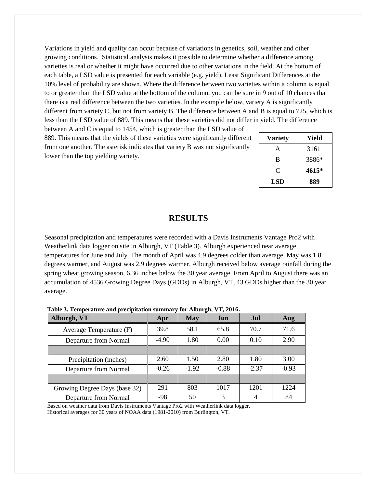Variations in yield and quality can occur because of variations in genetics, soil, weather and other growing conditions. Statistical analysis makes it possible to determine whether a difference among varieties is real or whether it might have occurred due to other variations in the field. At the bottom of each table, a LSD value is presented for each variable (e.g. yield). Least Significant Differences at the 10% level of probability are shown. Where the difference between two varieties within a column is equal to or greater than the LSD value at the bottom of the column, you can be sure in 9 out of 10 chances that there is a real difference between the two varieties. In the example below, variety A is significantly different from variety C, but not from variety B. The difference between A and B is equal to 725, which is less than the LSD value of 889. This means that these varieties did not differ in yield. The difference between A and C is equal to 1454, which is greater than the LSD value of

889. This means that the yields of these varieties were significantly different from one another. The asterisk indicates that variety B was not significantly lower than the top yielding variety.

| <b>Variety</b> | Yield |
|----------------|-------|
| A              | 3161  |
| B              | 3886* |
| C              | 4615* |
| <b>LSD</b>     | 889   |

### **RESULTS**

Seasonal precipitation and temperatures were recorded with a Davis Instruments Vantage Pro2 with Weatherlink data logger on site in Alburgh, VT (Table 3). Alburgh experienced near average temperatures for June and July. The month of April was 4.9 degrees colder than average, May was 1.8 degrees warmer, and August was 2.9 degrees warmer. Alburgh received below average rainfall during the spring wheat growing season, 6.36 inches below the 30 year average. From April to August there was an accumulation of 4536 Growing Degree Days (GDDs) in Alburgh, VT, 43 GDDs higher than the 30 year average.

**Table 3. Temperature and precipitation summary for Alburgh, VT, 2016.**

| Alburgh, VT                   | Apr     | <b>May</b> | Jun     | Jul     | Aug     |
|-------------------------------|---------|------------|---------|---------|---------|
| Average Temperature (F)       | 39.8    | 58.1       | 65.8    | 70.7    | 71.6    |
| Departure from Normal         | $-4.90$ | 1.80       | 0.00    | 0.10    | 2.90    |
|                               |         |            |         |         |         |
| Precipitation (inches)        | 2.60    | 1.50       | 2.80    | 1.80    | 3.00    |
| Departure from Normal         | $-0.26$ | $-1.92$    | $-0.88$ | $-2.37$ | $-0.93$ |
|                               |         |            |         |         |         |
| Growing Degree Days (base 32) | 291     | 803        | 1017    | 1201    | 1224    |
| Departure from Normal         | -98     | 50         | 3       | 4       | 84      |

Based on weather data from Davis Instruments Vantage Pro2 with Weatherlink data logger. Historical averages for 30 years of NOAA data (1981-2010) from Burlington, VT.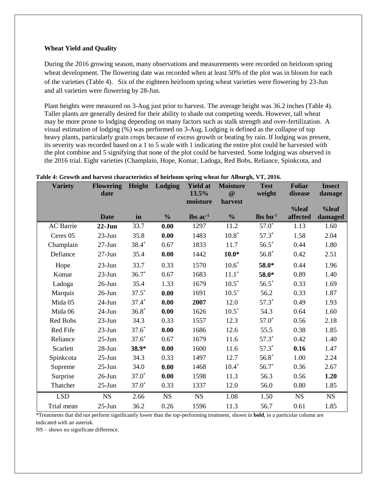#### **Wheat Yield and Quality**

During the 2016 growing season, many observations and measurements were recorded on heirloom spring wheat development. The flowering date was recorded when at least 50% of the plot was in bloom for each of the varieties (Table 4). Six of the eighteen heirloom spring wheat varieties were flowering by 23-Jun and all varieties were flowering by 28-Jun.

Plant heights were measured on 3-Aug just prior to harvest. The average height was 36.2 inches (Table 4). Taller plants are generally desired for their ability to shade out competing weeds. However, tall wheat may be more prone to lodging depending on many factors such as stalk strength and over-fertilization. A visual estimation of lodging (%) was performed on 3-Aug. Lodging is defined as the collapse of top heavy plants, particularly grain crops because of excess growth or beating by rain. If lodging was present, its severity was recorded based on a 1 to 5 scale with 1 indicating the entire plot could be harvested with the plot combine and 5 signifying that none of the plot could be harvested. Some lodging was observed in the 2016 trial. Eight varieties (Champlain, Hope, Komar, Ladoga, Red Bobs, Reliance, Spinkcota, and

| <b>Variety</b>   | <b>Flowering</b> | Height  | Lodging       | <b>Yield at</b>               | <b>Moisture</b> | <b>Test</b>                      | <b>Foliar</b> | <b>Insect</b> |
|------------------|------------------|---------|---------------|-------------------------------|-----------------|----------------------------------|---------------|---------------|
|                  | date             |         |               | 13.5%                         | $\omega$        | weight                           | disease       | damage        |
|                  |                  |         |               | moisture                      | harvest         |                                  | %leaf         | %leaf         |
|                  | <b>Date</b>      | in      | $\frac{0}{0}$ | $\text{lbs}$ ac <sup>-1</sup> | $\frac{0}{0}$   | $\mathbf{lbs}\ \mathbf{bu}^{-1}$ | affected      | damaged       |
| <b>AC</b> Barrie | $22-Jun$         | 33.7    | 0.00          | 1297                          | 11.2            | $57.0*$                          | 1.13          | 1.60          |
| Ceres 05         | $23$ -Jun        | 35.8    | 0.00          | 1483                          | $10.8*$         | $57.3*$                          | 1.58          | 2.04          |
| Champlain        | $27-Jun$         | 38.4*   | 0.67          | 1833                          | 11.7            | $56.5*$                          | 0.44          | 1.80          |
| Defiance         | $27 - Jun$       | 35.4    | 0.00          | 1442                          | $10.0*$         | $56.8*$                          | 0.42          | 2.51          |
| Hope             | $23$ -Jun        | 33.7    | 0.33          | 1570                          | $10.6*$         | 58.0*                            | 0.44          | 1.96          |
| Komar            | $23$ -Jun        | $36.7*$ | 0.67          | 1683                          | $11.1*$         | 58.0*                            | 0.89          | 1.40          |
| Ladoga           | $26$ -Jun        | 35.4    | 1.33          | 1679                          | $10.5*$         | $56.5*$                          | 0.33          | 1.69          |
| Marquis          | $26$ -Jun        | $37.5*$ | 0.00          | 1691                          | $10.5*$         | 56.2                             | 0.33          | 1.87          |
| Mida 05          | $24$ -Jun        | $37.4*$ | 0.00          | 2007                          | 12.0            | $57.3*$                          | 0.49          | 1.93          |
| Mida 06          | $24$ -Jun        | $36.8*$ | 0.00          | 1626                          | $10.5*$         | 54.3                             | 0.64          | 1.60          |
| Red Bobs         | $23-Jun$         | 34.3    | 0.33          | 1557                          | 12.3            | $57.0*$                          | 0.56          | 2.18          |
| Red Fife         | $23$ -Jun        | $37.6*$ | 0.00          | 1686                          | 12.6            | 55.5                             | 0.38          | 1.85          |
| Reliance         | $25 - Jun$       | $37.6*$ | 0.67          | 1679                          | 11.6            | $57.3*$                          | 0.42          | 1.40          |
| Scarlett         | $28 - Jun$       | 38.9*   | 0.00          | 1600                          | 11.6            | $57.3*$                          | 0.16          | 1.47          |
| Spinkcota        | $25$ -Jun        | 34.3    | 0.33          | 1497                          | 12.7            | $56.8*$                          | 1.00          | 2.24          |
| Supreme          | $25$ -Jun        | 34.0    | 0.00          | 1468                          | $10.4*$         | $56.7*$                          | 0.36          | 2.67          |
| Surprise         | $26$ -Jun        | $37.0*$ | 0.00          | 1598                          | 11.3            | 56.3                             | 0.56          | 1.20          |
| Thatcher         | $25$ -Jun        | $37.0*$ | 0.33          | 1337                          | 12.0            | 56.0                             | 0.80          | 1.85          |
| <b>LSD</b>       | NS               | 2.66    | $_{\rm NS}$   | <b>NS</b>                     | 1.08            | 1.50                             | <b>NS</b>     | $_{\rm NS}$   |
| Trial mean       | $25 - Jun$       | 36.2    | 0.26          | 1596                          | 11.3            | 56.7                             | 0.61          | 1.85          |

#### **Table 4: Growth and harvest characteristics of heirloom spring wheat for Alburgh, VT, 2016.**

\*Treatments that did not perform significantly lower than the top-performing treatment, shown in **bold**, in a particular column are indicated with an asterisk.

NS – shows no significate difference.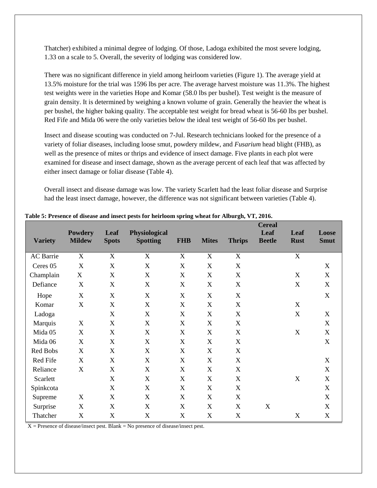Thatcher) exhibited a minimal degree of lodging. Of those, Ladoga exhibited the most severe lodging, 1.33 on a scale to 5. Overall, the severity of lodging was considered low.

There was no significant difference in yield among heirloom varieties (Figure 1). The average yield at 13.5% moisture for the trial was 1596 lbs per acre. The average harvest moisture was 11.3%. The highest test weights were in the varieties Hope and Komar (58.0 lbs per bushel). Test weight is the measure of grain density. It is determined by weighing a known volume of grain. Generally the heavier the wheat is per bushel, the higher baking quality. The acceptable test weight for bread wheat is 56-60 lbs per bushel. Red Fife and Mida 06 were the only varieties below the ideal test weight of 56-60 lbs per bushel.

Insect and disease scouting was conducted on 7-Jul. Research technicians looked for the presence of a variety of foliar diseases, including loose smut, powdery mildew, and *Fusarium* head blight (FHB), as well as the presence of mites or thrips and evidence of insect damage. Five plants in each plot were examined for disease and insect damage, shown as the average percent of each leaf that was affected by either insect damage or foliar disease (Table 4).

Overall insect and disease damage was low. The variety Scarlett had the least foliar disease and Surprise had the least insect damage, however, the difference was not significant between varieties (Table 4).

| <b>Variety</b>   | <b>Powdery</b><br><b>Mildew</b> | Leaf<br><b>Spots</b>      | Physiological<br><b>Spotting</b> | <b>FHB</b>                | <b>Mites</b>     | <b>Thrips</b>             | <b>Cereal</b><br>Leaf<br><b>Beetle</b> | Leaf<br><b>Rust</b>       | Loose<br><b>Smut</b> |
|------------------|---------------------------------|---------------------------|----------------------------------|---------------------------|------------------|---------------------------|----------------------------------------|---------------------------|----------------------|
| <b>AC</b> Barrie | X                               | $\boldsymbol{\mathrm{X}}$ | X                                | X                         | $\mathbf X$      | X                         |                                        | X                         |                      |
| Ceres 05         | $\mathbf X$                     | $\mathbf X$               | $\mathbf X$                      | $\boldsymbol{\mathrm{X}}$ | $\mathbf X$      | $\mathbf X$               |                                        |                           | $\boldsymbol{X}$     |
| Champlain        | X                               | X                         | X                                | X                         | X                | $\mathbf X$               |                                        | X                         | X                    |
| Defiance         | X                               | $\boldsymbol{\mathrm{X}}$ | X                                | X                         | $\boldsymbol{X}$ | X                         |                                        | $\boldsymbol{\mathrm{X}}$ | X                    |
| Hope             | $\boldsymbol{X}$                | $\mathbf X$               | $\boldsymbol{X}$                 | $\boldsymbol{\mathrm{X}}$ | $\mathbf X$      | $\mathbf X$               |                                        |                           | $\mathbf X$          |
| Komar            | X                               | $\boldsymbol{\mathrm{X}}$ | X                                | X                         | X                | $\mathbf X$               |                                        | $\boldsymbol{X}$          |                      |
| Ladoga           |                                 | $\boldsymbol{X}$          | X                                | X                         | $\mathbf X$      | $\boldsymbol{\mathrm{X}}$ |                                        | $\boldsymbol{X}$          | X                    |
| Marquis          | X                               | $\boldsymbol{X}$          | X                                | X                         | X                | $\mathbf X$               |                                        |                           | X                    |
| Mida 05          | X                               | X                         | X                                | X                         | $\mathbf X$      | $\boldsymbol{\mathrm{X}}$ |                                        | X                         | X                    |
| Mida 06          | X                               | $\mathbf X$               | $\boldsymbol{\mathrm{X}}$        | X                         | $\mathbf X$      | $\mathbf X$               |                                        |                           | $\mathbf X$          |
| Red Bobs         | X                               | $\boldsymbol{\mathrm{X}}$ | $\mathbf X$                      | X                         | X                | $\boldsymbol{\mathrm{X}}$ |                                        |                           |                      |
| Red Fife         | X                               | X                         | X                                | X                         | X                | $\mathbf X$               |                                        |                           | X                    |
| Reliance         | X                               | $\boldsymbol{\mathrm{X}}$ | X                                | X                         | X                | $\mathbf X$               |                                        |                           | X                    |
| Scarlett         |                                 | $\boldsymbol{X}$          | X                                | X                         | $\mathbf X$      | X                         |                                        | X                         | X                    |
| Spinkcota        |                                 | $\boldsymbol{\mathrm{X}}$ | X                                | X                         | $\mathbf X$      | $\mathbf X$               |                                        |                           | $\mathbf X$          |
| Supreme          | X                               | $\mathbf X$               | $\mathbf X$                      | X                         | $\mathbf X$      | $\mathbf X$               |                                        |                           | $\mathbf X$          |
| Surprise         | X                               | $\boldsymbol{\mathrm{X}}$ | X                                | X                         | X                | $\mathbf X$               | X                                      |                           | X                    |
| Thatcher         | $\boldsymbol{\mathrm{X}}$       | $\boldsymbol{\mathrm{X}}$ | X                                | X                         | $\boldsymbol{X}$ | X                         |                                        | X                         | X                    |

**Table 5: Presence of disease and insect pests for heirloom spring wheat for Alburgh, VT, 2016.**

 $X =$  Presence of disease/insect pest. Blank = No presence of disease/insect pest.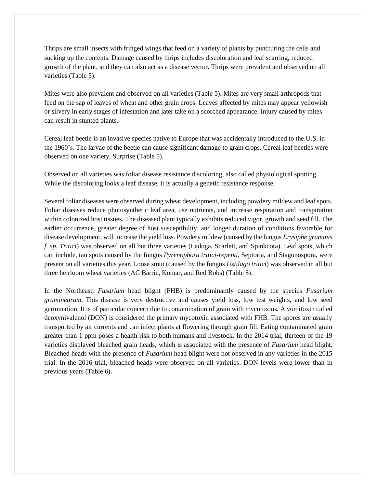Thrips are small insects with fringed wings that feed on a variety of plants by puncturing the cells and sucking up the contents. Damage caused by thrips includes discoloration and leaf scarring, reduced growth of the plant, and they can also act as a disease vector. Thrips were prevalent and observed on all varieties (Table 5).

Mites were also prevalent and observed on all varieties (Table 5). Mites are very small arthropods that feed on the sap of leaves of wheat and other grain crops. Leaves affected by mites may appear yellowish or silvery in early stages of infestation and later take on a scorched appearance. Injury caused by mites can result in stunted plants.

Cereal leaf beetle is an invasive species native to Europe that was accidentally introduced to the U.S. in the 1960's. The larvae of the beetle can cause significant damage to grain crops. Cereal leaf beetles were observed on one variety, Surprise (Table 5).

Observed on all varieties was foliar disease resistance discoloring, also called physiological spotting. While the discoloring looks a leaf disease, it is actually a genetic resistance response.

Several foliar diseases were observed during wheat development, including powdery mildew and leaf spots. Foliar diseases reduce photosynthetic leaf area, use nutrients, and increase respiration and transpiration within colonized host tissues. The diseased plant typically exhibits reduced vigor, growth and seed fill. The earlier occurrence, greater degree of host susceptibility, and longer duration of conditions favorable for disease development, will increase the yield loss. Powdery mildew (caused by the fungus *Erysiphe graminis f. sp. Tritici*) was observed on all but three varieties (Ladoga, Scarlett, and Spinkcota). Leaf spots, which can include, tan spots caused by the fungus *Pyrenophora tritici-repenti,* Septoria, and Stagonospora, were present on all varieties this year. Loose smut (caused by the fungus *Ustilago tritici*) was observed in all but three heirloom wheat varieties (AC Barrie, Komar, and Red Bobs) (Table 5).

In the Northeast, *Fusarium* head blight (FHB) is predominantly caused by the species *Fusarium graminearum*. This disease is very destructive and causes yield loss, low test weights, and low seed germination. It is of particular concern due to contamination of grain with mycotoxins. A vomitoxin called deoxynivalenol (DON) is considered the primary mycotoxin associated with FHB. The spores are usually transported by air currents and can infect plants at flowering through grain fill. Eating contaminated grain greater than 1 ppm poses a health risk to both humans and livestock. In the 2014 trial, thirteen of the 19 varieties displayed bleached grain heads, which is associated with the presence of *Fusarium* head blight. Bleached heads with the presence of *Fusarium* head blight were not observed in any varieties in the 2015 trial. In the 2016 trial, bleached heads were observed on all varieties. DON levels were lower than in previous years (Table 6).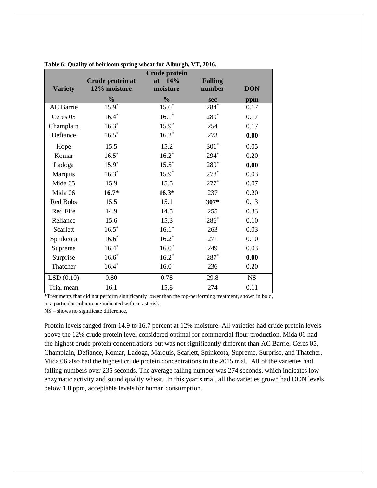|                  |                  | <b>Crude protein</b> |                |            |
|------------------|------------------|----------------------|----------------|------------|
|                  | Crude protein at | at 14%               | <b>Falling</b> |            |
| <b>Variety</b>   | 12% moisture     | moisture             | number         | <b>DON</b> |
|                  | $\frac{0}{0}$    | $\frac{0}{0}$        | sec            | ppm        |
| <b>AC</b> Barrie | $15.9*$          | $15.6^*$             | $284*$         | 0.17       |
| Ceres 05         | $16.4*$          | $16.1*$              | 289*           | 0.17       |
| Champlain        | $16.3*$          | $15.9*$              | 254            | 0.17       |
| Defiance         | $16.5*$          | $16.2*$              | 273            | 0.00       |
| Hope             | 15.5             | 15.2                 | $301*$         | 0.05       |
| Komar            | $16.5^*$         | $16.2*$              | $294*$         | 0.20       |
| Ladoga           | $15.9*$          | $15.5*$              | 289*           | 0.00       |
| Marquis          | $16.3*$          | $15.9*$              | $278*$         | 0.03       |
| Mida 05          | 15.9             | 15.5                 | $277*$         | 0.07       |
| Mida 06          | $16.7*$          | $16.3*$              | 237            | 0.20       |
| Red Bobs         | 15.5             | 15.1                 | 307*           | 0.13       |
| Red Fife         | 14.9             | 14.5                 | 255            | 0.33       |
| Reliance         | 15.6             | 15.3                 | $286*$         | 0.10       |
| Scarlett         | $16.5*$          | $16.1*$              | 263            | 0.03       |
| Spinkcota        | $16.6*$          | $16.2*$              | 271            | 0.10       |
| Supreme          | $16.4*$          | $16.0*$              | 249            | 0.03       |
| Surprise         | $16.6*$          | $16.2*$              | $287*$         | 0.00       |
| Thatcher         | $16.4*$          | $16.0*$              | 236            | 0.20       |
| LSD(0.10)        | 0.80             | 0.78                 | 29.8           | <b>NS</b>  |
| Trial mean       | 16.1             | 15.8                 | 274            | 0.11       |

| Table 6: Quality of heirloom spring wheat for Alburgh, VT, 2016. |  |  |  |
|------------------------------------------------------------------|--|--|--|
|                                                                  |  |  |  |

\*Treatments that did not perform significantly lower than the top-performing treatment, shown in bold, in a particular column are indicated with an asterisk.

NS – shows no significate difference.

Protein levels ranged from 14.9 to 16.7 percent at 12% moisture. All varieties had crude protein levels above the 12% crude protein level considered optimal for commercial flour production. Mida 06 had the highest crude protein concentrations but was not significantly different than AC Barrie, Ceres 05, Champlain, Defiance, Komar, Ladoga, Marquis, Scarlett, Spinkcota, Supreme, Surprise, and Thatcher. Mida 06 also had the highest crude protein concentrations in the 2015 trial. All of the varieties had falling numbers over 235 seconds. The average falling number was 274 seconds, which indicates low enzymatic activity and sound quality wheat. In this year's trial, all the varieties grown had DON levels below 1.0 ppm, acceptable levels for human consumption.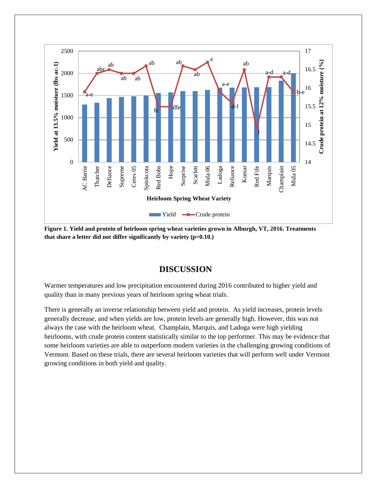

**Figure 1. Yield and protein of heirloom spring wheat varieties grown in Alburgh, VT, 2016. Treatments that share a letter did not differ significantly by variety (p=0.10.)** 

## **DISCUSSION**

Warmer temperatures and low precipitation encountered during 2016 contributed to higher yield and quality than in many previous years of heirloom spring wheat trials.

There is generally an inverse relationship between yield and protein. As yield increases, protein levels generally decrease, and when yields are low, protein levels are generally high. However, this was not always the case with the heirloom wheat. Champlain, Marquis, and Ladoga were high yielding heirlooms, with crude protein content statistically similar to the top performer. This may be evidence that some heirloom varieties are able to outperform modern varieties in the challenging growing conditions of Vermont. Based on these trials, there are several heirloom varieties that will perform well under Vermont growing conditions in both yield and quality.